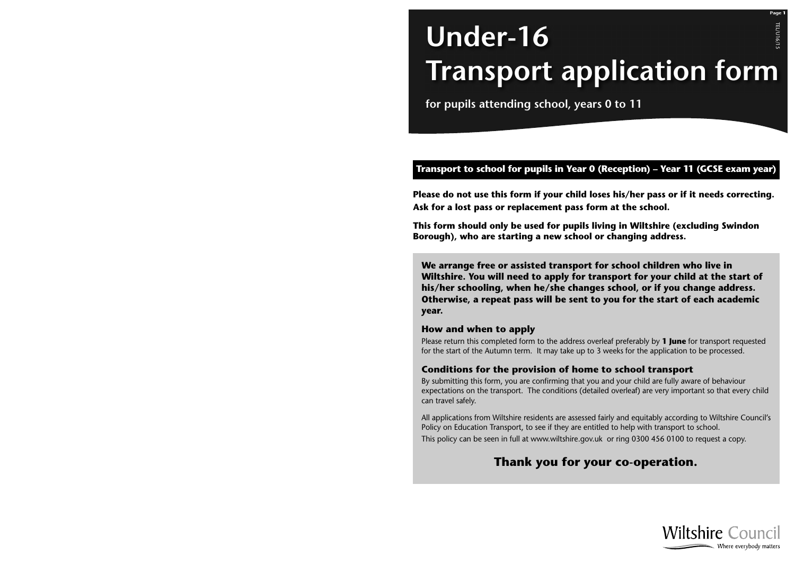# TEL/U16/15 **TEL/U16/15 Under-16 Transport application form**

**for pupils attending school, years 0 to 11**

## **Transport to school for pupils in Year 0 (Reception) – Year 11 (GCSE exam year)**

**Please do not use this form if your child loses his/her pass or if it needs correcting. Ask for a lost pass or replacement pass form at the school.** 

**This form should only be used for pupils living in Wiltshire (excluding Swindon Borough), who are starting a new school or changing address.**

**We arrange free or assisted transport for school children who live in Wiltshire. You will need to apply for transport for your child at the start of his/her schooling, when he/she changes school, or if you change address. Otherwise, a repeat pass will be sent to you for the start of each academic year.**

### **How and when to apply**

Please return this completed form to the address overleaf preferably by **1 June** for transport requested for the start of the Autumn term. It may take up to 3 weeks for the application to be processed.

### **Conditions for the provision of home to school transport**

By submitting this form, you are confirming that you and your child are fully aware of behaviour expectations on the transport. The conditions (detailed overleaf) are very important so that every child can travel safely.

All applications from Wiltshire residents are assessed fairly and equitably according to Wiltshire Council's Policy on Education Transport, to see if they are entitled to help with transport to school. This policy can be seen in full at www.wiltshire.gov.uk or ring 0300 456 0100 to request a copy.

# **Thank you for your co-operation.**



**Page 1**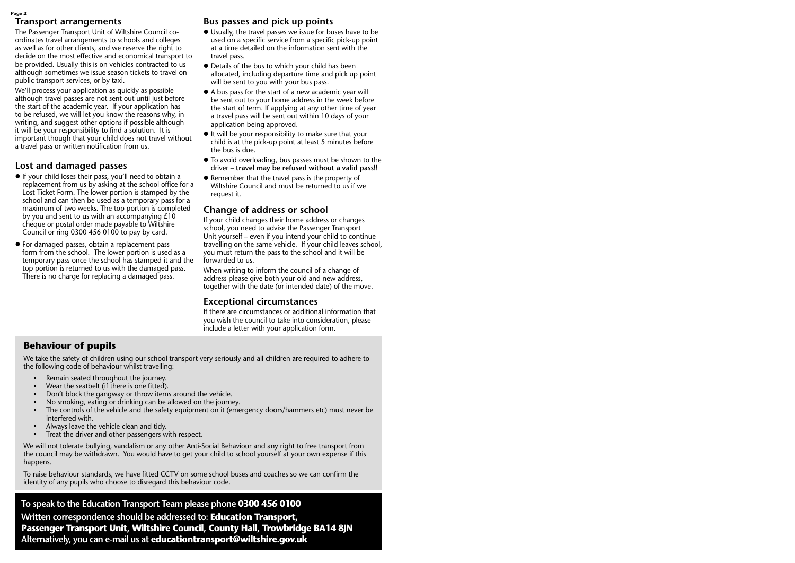#### **Page 2**

### **Transport arrangements**

The Passenger Transport Unit of Wiltshire Council coordinates travel arrangements to schools and colleges as well as for other clients, and we reserve the right to decide on the most effective and economical transport to be provided. Usually this is on vehicles contracted to us although sometimes we issue season tickets to travel on public transport services, or by taxi.

We'll process your application as quickly as possible although travel passes are not sent out until just before the start of the academic year. If your application has to be refused, we will let you know the reasons why, in writing, and suggest other options if possible although it will be your responsibility to find a solution. It is important though that your child does not travel without a travel pass or written notification from us.

### **Lost and damaged passes**

- l If your child loses their pass, you'll need to obtain a replacement from us by asking at the school office for a Lost Ticket Form. The lower portion is stamped by the school and can then be used as a temporary pass for a maximum of two weeks. The top portion is completed by you and sent to us with an accompanying £10 cheque or postal order made payable to Wiltshire Council or ring 0300 456 0100 to pay by card.
- l For damaged passes, obtain a replacement pass form from the school. The lower portion is used as a temporary pass once the school has stamped it and the top portion is returned to us with the damaged pass. There is no charge for replacing a damaged pass.

### **Bus passes and pick up points**

- l Usually, the travel passes we issue for buses have to be used on a specific service from a specific pick-up point at a time detailed on the information sent with the travel pass.
- Details of the bus to which your child has been allocated, including departure time and pick up point will be sent to you with your bus pass.
- $\bullet$  A bus pass for the start of a new academic year will be sent out to your home address in the week before the start of term. If applying at any other time of year a travel pass will be sent out within 10 days of your application being approved.
- $\bullet$  It will be your responsibility to make sure that your child is at the pick-up point at least 5 minutes before the bus is due.
- To avoid overloading, bus passes must be shown to the driver – **travel may be refused without a valid pass!!**
- Remember that the travel pass is the property of Wiltshire Council and must be returned to us if we request it.

### **Change of address or school**

If your child changes their home address or changes school, you need to advise the Passenger Transport Unit yourself – even if you intend your child to continue travelling on the same vehicle. If your child leaves school, you must return the pass to the school and it will be forwarded to us.

When writing to inform the council of a change of address please give both your old and new address, together with the date (or intended date) of the move.

### **Exceptional circumstances**

If there are circumstances or additional information that you wish the council to take into consideration, please include a letter with your application form.

### **Behaviour of pupils**

We take the safety of children using our school transport very seriously and all children are required to adhere to the following code of behaviour whilst travelling:

- Remain seated throughout the journey.
- § Wear the seatbelt (if there is one fitted).
- Don't block the gangway or throw items around the vehicle.
- § No smoking, eating or drinking can be allowed on the journey.
- § The controls of the vehicle and the safety equipment on it (emergency doors/hammers etc) must never be interfered with.
- **•** Always leave the vehicle clean and tidy.
- Treat the driver and other passengers with respect.

We will not tolerate bullying, vandalism or any other Anti-Social Behaviour and any right to free transport from the council may be withdrawn. You would have to get your child to school yourself at your own expense if this happens.

To raise behaviour standards, we have fitted CCTV on some school buses and coaches so we can confirm the identity of any pupils who choose to disregard this behaviour code.

**To speak to the Education Transport Team please phone 0300 456 0100 Written correspondence should be addressed to: Education Transport, Passenger Transport Unit, Wiltshire Council, County Hall, Trowbridge BA14 8JN Alternatively, you can e-mail us at educationtransport@wiltshire.gov.uk**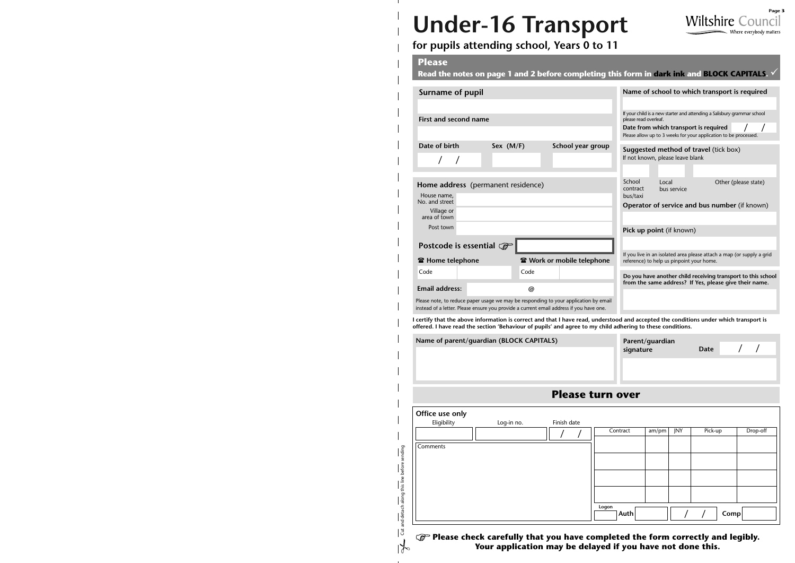# **Under-16 Transport**



# **for pupils attending school, Years 0 to 11**

### **Please**

Cut and detach along this line before sending

Cut and detach along this line before sending

 $\frac{1}{2}$ 

**Read the notes on page 1 and 2 before completing this form in dark ink and BLOCK CAPITALS .**  $\checkmark$ 

| <b>Surname of pupil</b>                                                                                                                                                         |             |                   |                                                                                                                                                                                                               |                          | Name of school to which transport is required                                                                                       |  |  |
|---------------------------------------------------------------------------------------------------------------------------------------------------------------------------------|-------------|-------------------|---------------------------------------------------------------------------------------------------------------------------------------------------------------------------------------------------------------|--------------------------|-------------------------------------------------------------------------------------------------------------------------------------|--|--|
| First and second name                                                                                                                                                           |             |                   | If your child is a new starter and attending a Salisbury grammar school<br>please read overleaf.<br>Date from which transport is required<br>Please allow up to 3 weeks for your application to be processed. |                          |                                                                                                                                     |  |  |
| Date of birth                                                                                                                                                                   | Sex $(M/F)$ | School year group | <b>Suggested method of travel (tick box)</b><br>If not known, please leave blank                                                                                                                              |                          |                                                                                                                                     |  |  |
| Home address (permanent residence)<br>House name,<br>No. and street                                                                                                             |             |                   | School<br>contract<br>bus/taxi                                                                                                                                                                                | Local<br>bus service     | Other (please state)                                                                                                                |  |  |
| Village or<br>area of town                                                                                                                                                      |             |                   |                                                                                                                                                                                                               |                          | Operator of service and bus number (if known)                                                                                       |  |  |
| Post town                                                                                                                                                                       |             |                   |                                                                                                                                                                                                               | Pick up point (if known) |                                                                                                                                     |  |  |
| Postcode is essential $\mathcal{F}$                                                                                                                                             |             |                   |                                                                                                                                                                                                               |                          |                                                                                                                                     |  |  |
| <b>雷 Home telephone</b><br><b>雷 Work or mobile telephone</b>                                                                                                                    |             |                   | If you live in an isolated area please attach a map (or supply a grid<br>reference) to help us pinpoint your home.                                                                                            |                          |                                                                                                                                     |  |  |
| Code                                                                                                                                                                            | Code        |                   | Do you have another child receiving transport to this school<br>from the same address? If Yes, please give their name.                                                                                        |                          |                                                                                                                                     |  |  |
| <b>Email address:</b>                                                                                                                                                           | @           |                   |                                                                                                                                                                                                               |                          |                                                                                                                                     |  |  |
| Please note, to reduce paper usage we may be responding to your application by email<br>instead of a letter. Please ensure you provide a current email address if you have one. |             |                   |                                                                                                                                                                                                               |                          |                                                                                                                                     |  |  |
|                                                                                                                                                                                 |             |                   |                                                                                                                                                                                                               |                          | costify that the above information is correct and that I have read, understood and accented the conditions under which transport is |  |  |

**I certify that the above information is correct and that I have read, understood and accepted the conditions under which transport is offered. I have read the section 'Behaviour of pupils' and agree to my child adhering to these conditions.**

| Name of parent/guardian (BLOCK CAPITALS) | Parent/guardian<br>signature | Date |  |
|------------------------------------------|------------------------------|------|--|
|                                          |                              |      |  |
|                                          |                              |      |  |

## **Please turn over**

| Office use only |            |             |                            |       |     |         |          |
|-----------------|------------|-------------|----------------------------|-------|-----|---------|----------|
| Eligibility     | Log-in no. | Finish date |                            |       |     |         |          |
|                 |            |             | Contract                   | am/pm | JNY | Pick-up | Drop-off |
|                 |            |             |                            |       |     |         |          |
| Comments        |            |             |                            |       |     |         |          |
|                 |            |             |                            |       |     |         |          |
|                 |            |             |                            |       |     |         |          |
|                 |            |             |                            |       |     |         |          |
|                 |            |             |                            |       |     |         |          |
|                 |            |             |                            |       |     |         |          |
|                 |            |             |                            |       |     |         |          |
|                 |            |             | Logon<br>$ \mathsf{Auth} $ |       |     |         |          |
|                 |            |             |                            |       |     | Compl   |          |

**Please check carefully that you have completed the form correctly and legibly. Your application may be delayed if you have not done this.**